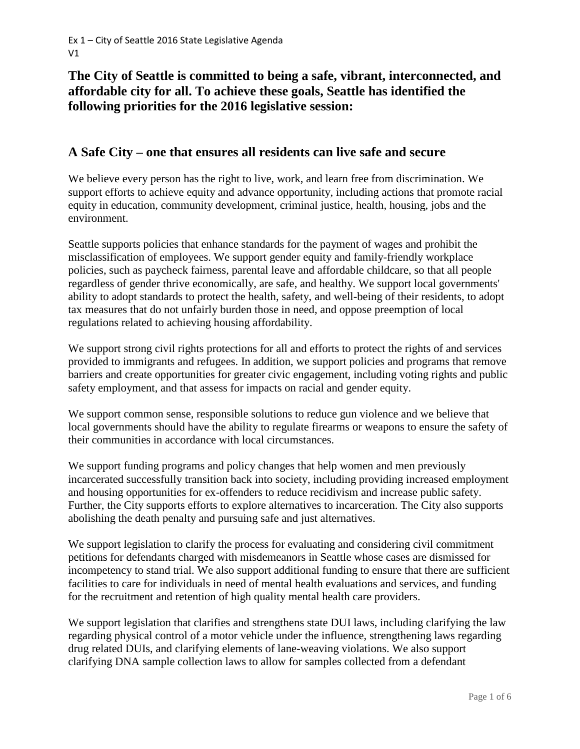# **The City of Seattle is committed to being a safe, vibrant, interconnected, and affordable city for all. To achieve these goals, Seattle has identified the following priorities for the 2016 legislative session:**

### **A Safe City – one that ensures all residents can live safe and secure**

We believe every person has the right to live, work, and learn free from discrimination. We support efforts to achieve equity and advance opportunity, including actions that promote racial equity in education, community development, criminal justice, health, housing, jobs and the environment.

Seattle supports policies that enhance standards for the payment of wages and prohibit the misclassification of employees. We support gender equity and family-friendly workplace policies, such as paycheck fairness, parental leave and affordable childcare, so that all people regardless of gender thrive economically, are safe, and healthy. We support local governments' ability to adopt standards to protect the health, safety, and well-being of their residents, to adopt tax measures that do not unfairly burden those in need, and oppose preemption of local regulations related to achieving housing affordability.

We support strong civil rights protections for all and efforts to protect the rights of and services provided to immigrants and refugees. In addition, we support policies and programs that remove barriers and create opportunities for greater civic engagement, including voting rights and public safety employment, and that assess for impacts on racial and gender equity.

We support common sense, responsible solutions to reduce gun violence and we believe that local governments should have the ability to regulate firearms or weapons to ensure the safety of their communities in accordance with local circumstances.

We support funding programs and policy changes that help women and men previously incarcerated successfully transition back into society, including providing increased employment and housing opportunities for ex-offenders to reduce recidivism and increase public safety. Further, the City supports efforts to explore alternatives to incarceration. The City also supports abolishing the death penalty and pursuing safe and just alternatives.

We support legislation to clarify the process for evaluating and considering civil commitment petitions for defendants charged with misdemeanors in Seattle whose cases are dismissed for incompetency to stand trial. We also support additional funding to ensure that there are sufficient facilities to care for individuals in need of mental health evaluations and services, and funding for the recruitment and retention of high quality mental health care providers.

We support legislation that clarifies and strengthens state DUI laws, including clarifying the law regarding physical control of a motor vehicle under the influence, strengthening laws regarding drug related DUIs, and clarifying elements of lane-weaving violations. We also support clarifying DNA sample collection laws to allow for samples collected from a defendant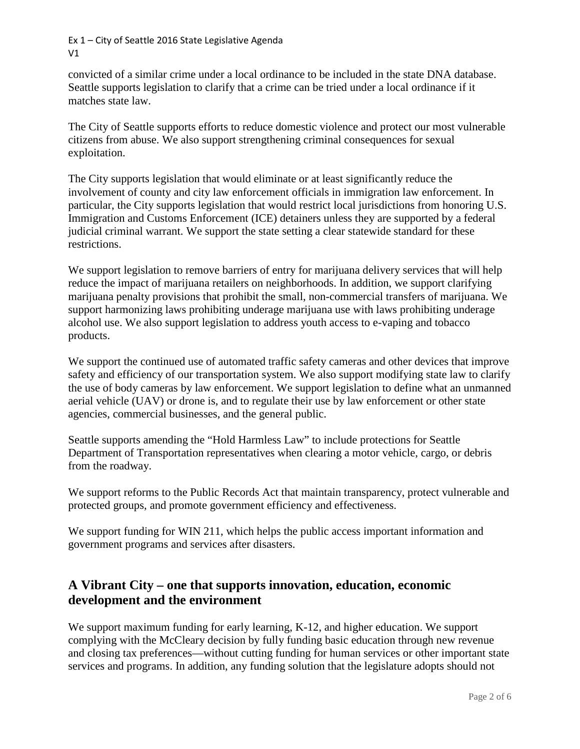Ex 1 – City of Seattle 2016 State Legislative Agenda V1

convicted of a similar crime under a local ordinance to be included in the state DNA database. Seattle supports legislation to clarify that a crime can be tried under a local ordinance if it matches state law.

The City of Seattle supports efforts to reduce domestic violence and protect our most vulnerable citizens from abuse. We also support strengthening criminal consequences for sexual exploitation.

The City supports legislation that would eliminate or at least significantly reduce the involvement of county and city law enforcement officials in immigration law enforcement. In particular, the City supports legislation that would restrict local jurisdictions from honoring U.S. Immigration and Customs Enforcement (ICE) detainers unless they are supported by a federal judicial criminal warrant. We support the state setting a clear statewide standard for these restrictions.

We support legislation to remove barriers of entry for marijuana delivery services that will help reduce the impact of marijuana retailers on neighborhoods. In addition, we support clarifying marijuana penalty provisions that prohibit the small, non-commercial transfers of marijuana. We support harmonizing laws prohibiting underage marijuana use with laws prohibiting underage alcohol use. We also support legislation to address youth access to e-vaping and tobacco products.

We support the continued use of automated traffic safety cameras and other devices that improve safety and efficiency of our transportation system. We also support modifying state law to clarify the use of body cameras by law enforcement. We support legislation to define what an unmanned aerial vehicle (UAV) or drone is, and to regulate their use by law enforcement or other state agencies, commercial businesses, and the general public.

Seattle supports amending the "Hold Harmless Law" to include protections for Seattle Department of Transportation representatives when clearing a motor vehicle, cargo, or debris from the roadway.

We support reforms to the Public Records Act that maintain transparency, protect vulnerable and protected groups, and promote government efficiency and effectiveness.

We support funding for WIN 211, which helps the public access important information and government programs and services after disasters.

# **A Vibrant City – one that supports innovation, education, economic development and the environment**

We support maximum funding for early learning, K-12, and higher education. We support complying with the McCleary decision by fully funding basic education through new revenue and closing tax preferences—without cutting funding for human services or other important state services and programs. In addition, any funding solution that the legislature adopts should not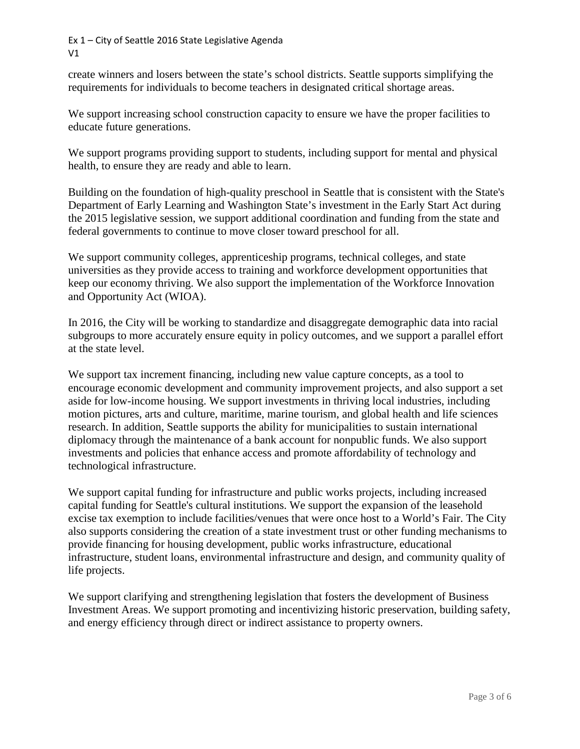Ex 1 – City of Seattle 2016 State Legislative Agenda V1

create winners and losers between the state's school districts. Seattle supports simplifying the requirements for individuals to become teachers in designated critical shortage areas.

We support increasing school construction capacity to ensure we have the proper facilities to educate future generations.

We support programs providing support to students, including support for mental and physical health, to ensure they are ready and able to learn.

Building on the foundation of high-quality preschool in Seattle that is consistent with the State's Department of Early Learning and Washington State's investment in the Early Start Act during the 2015 legislative session, we support additional coordination and funding from the state and federal governments to continue to move closer toward preschool for all.

We support community colleges, apprenticeship programs, technical colleges, and state universities as they provide access to training and workforce development opportunities that keep our economy thriving. We also support the implementation of the Workforce Innovation and Opportunity Act (WIOA).

In 2016, the City will be working to standardize and disaggregate demographic data into racial subgroups to more accurately ensure equity in policy outcomes, and we support a parallel effort at the state level.

We support tax increment financing, including new value capture concepts, as a tool to encourage economic development and community improvement projects, and also support a set aside for low-income housing. We support investments in thriving local industries, including motion pictures, arts and culture, maritime, marine tourism, and global health and life sciences research. In addition, Seattle supports the ability for municipalities to sustain international diplomacy through the maintenance of a bank account for nonpublic funds. We also support investments and policies that enhance access and promote affordability of technology and technological infrastructure.

We support capital funding for infrastructure and public works projects, including increased capital funding for Seattle's cultural institutions. We support the expansion of the leasehold excise tax exemption to include facilities/venues that were once host to a World's Fair. The City also supports considering the creation of a state investment trust or other funding mechanisms to provide financing for housing development, public works infrastructure, educational infrastructure, student loans, environmental infrastructure and design, and community quality of life projects.

We support clarifying and strengthening legislation that fosters the development of Business Investment Areas. We support promoting and incentivizing historic preservation, building safety, and energy efficiency through direct or indirect assistance to property owners.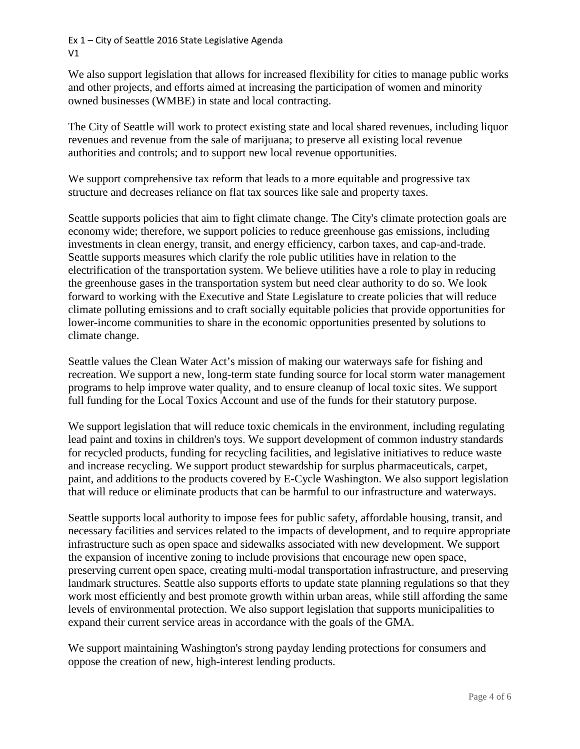Ex 1 – City of Seattle 2016 State Legislative Agenda V1

We also support legislation that allows for increased flexibility for cities to manage public works and other projects, and efforts aimed at increasing the participation of women and minority owned businesses (WMBE) in state and local contracting.

The City of Seattle will work to protect existing state and local shared revenues, including liquor revenues and revenue from the sale of marijuana; to preserve all existing local revenue authorities and controls; and to support new local revenue opportunities.

We support comprehensive tax reform that leads to a more equitable and progressive tax structure and decreases reliance on flat tax sources like sale and property taxes.

Seattle supports policies that aim to fight climate change. The City's climate protection goals are economy wide; therefore, we support policies to reduce greenhouse gas emissions, including investments in clean energy, transit, and energy efficiency, carbon taxes, and cap-and-trade. Seattle supports measures which clarify the role public utilities have in relation to the electrification of the transportation system. We believe utilities have a role to play in reducing the greenhouse gases in the transportation system but need clear authority to do so. We look forward to working with the Executive and State Legislature to create policies that will reduce climate polluting emissions and to craft socially equitable policies that provide opportunities for lower-income communities to share in the economic opportunities presented by solutions to climate change.

Seattle values the Clean Water Act's mission of making our waterways safe for fishing and recreation. We support a new, long-term state funding source for local storm water management programs to help improve water quality, and to ensure cleanup of local toxic sites. We support full funding for the Local Toxics Account and use of the funds for their statutory purpose.

We support legislation that will reduce toxic chemicals in the environment, including regulating lead paint and toxins in children's toys. We support development of common industry standards for recycled products, funding for recycling facilities, and legislative initiatives to reduce waste and increase recycling. We support product stewardship for surplus pharmaceuticals, carpet, paint, and additions to the products covered by E-Cycle Washington. We also support legislation that will reduce or eliminate products that can be harmful to our infrastructure and waterways.

Seattle supports local authority to impose fees for public safety, affordable housing, transit, and necessary facilities and services related to the impacts of development, and to require appropriate infrastructure such as open space and sidewalks associated with new development. We support the expansion of incentive zoning to include provisions that encourage new open space, preserving current open space, creating multi-modal transportation infrastructure, and preserving landmark structures. Seattle also supports efforts to update state planning regulations so that they work most efficiently and best promote growth within urban areas, while still affording the same levels of environmental protection. We also support legislation that supports municipalities to expand their current service areas in accordance with the goals of the GMA.

We support maintaining Washington's strong payday lending protections for consumers and oppose the creation of new, high-interest lending products.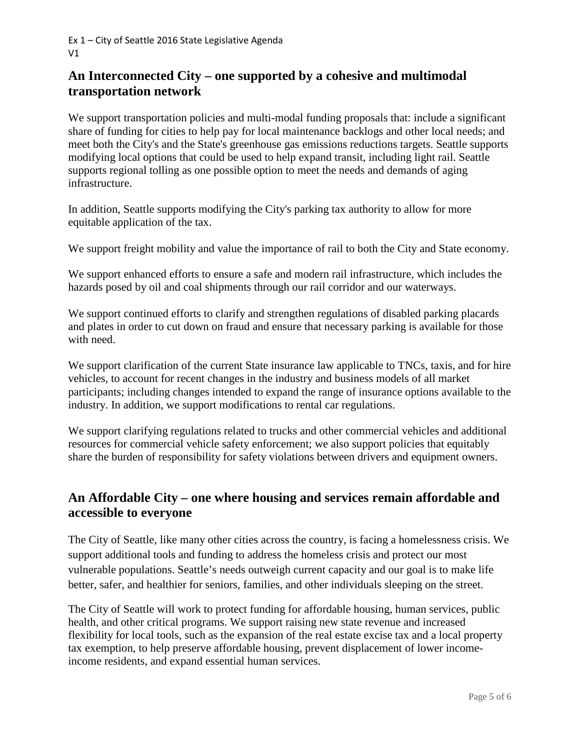# **An Interconnected City – one supported by a cohesive and multimodal transportation network**

We support transportation policies and multi-modal funding proposals that: include a significant share of funding for cities to help pay for local maintenance backlogs and other local needs; and meet both the City's and the State's greenhouse gas emissions reductions targets. Seattle supports modifying local options that could be used to help expand transit, including light rail. Seattle supports regional tolling as one possible option to meet the needs and demands of aging infrastructure.

In addition, Seattle supports modifying the City's parking tax authority to allow for more equitable application of the tax.

We support freight mobility and value the importance of rail to both the City and State economy.

We support enhanced efforts to ensure a safe and modern rail infrastructure, which includes the hazards posed by oil and coal shipments through our rail corridor and our waterways.

We support continued efforts to clarify and strengthen regulations of disabled parking placards and plates in order to cut down on fraud and ensure that necessary parking is available for those with need.

We support clarification of the current State insurance law applicable to TNCs, taxis, and for hire vehicles, to account for recent changes in the industry and business models of all market participants; including changes intended to expand the range of insurance options available to the industry. In addition, we support modifications to rental car regulations.

We support clarifying regulations related to trucks and other commercial vehicles and additional resources for commercial vehicle safety enforcement; we also support policies that equitably share the burden of responsibility for safety violations between drivers and equipment owners.

### **An Affordable City – one where housing and services remain affordable and accessible to everyone**

The City of Seattle, like many other cities across the country, is facing a homelessness crisis. We support additional tools and funding to address the homeless crisis and protect our most vulnerable populations. Seattle's needs outweigh current capacity and our goal is to make life better, safer, and healthier for seniors, families, and other individuals sleeping on the street.

The City of Seattle will work to protect funding for affordable housing, human services, public health, and other critical programs. We support raising new state revenue and increased flexibility for local tools, such as the expansion of the real estate excise tax and a local property tax exemption, to help preserve affordable housing, prevent displacement of lower incomeincome residents, and expand essential human services.